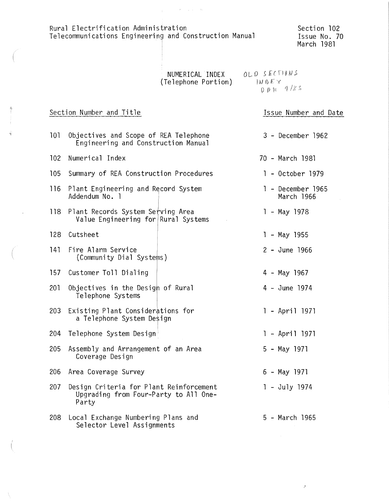Rural Electrification Administration Telecommunications Engineering and Construction Manual

 $\frac{1}{2} \left( \frac{1}{2} \right)$  ,  $\frac{1}{2} \left( \frac{1}{2} \right) \left( \frac{1}{2} \right)$  ,  $\frac{1}{2} \left( \frac{1}{2} \right) \left( \frac{1}{2} \right)$  ,  $\frac{1}{2} \left( \frac{1}{2} \right)$ 

Section 102 Issue No. 70 March 1981

Issue Number and Date

 $\bar{\bar{z}}$ 

| NUMERICAL INDEX     | OLD SECTIONS                        |
|---------------------|-------------------------------------|
| (Telephone Portion) | $1N$ $\Omega$ $\mathbb{Z}$ $\times$ |
|                     | $DDA = 9/85$                        |

### Section Number and Title

| 101 | Objectives and Scope of REA Telephone<br>3 - December 1962<br>Engineering and Construction Manual |  |                                 |  |  |
|-----|---------------------------------------------------------------------------------------------------|--|---------------------------------|--|--|
| 102 | Numerical Index                                                                                   |  | 70 - March 1981                 |  |  |
| 105 | Summary of REA Construction Procedures                                                            |  | 1 - October 1979                |  |  |
| 116 | Plant Engineering and Record System<br>Addendum No. 1                                             |  | 1 - December 1965<br>March 1966 |  |  |
| 118 | Plant Records System Serving Area<br>Value Engineering for Rural Systems                          |  | $1 - May 1978$                  |  |  |
| 128 | Cutsheet                                                                                          |  | $1 - May$ 1955                  |  |  |
| 141 | Fire Alarm Service<br>(Community Dial Systems)                                                    |  | 2 - June 1966                   |  |  |
| 157 | Customer Toll Dialing                                                                             |  | 4 - May 1967                    |  |  |
| 201 | Objectives in the Desigh of Rural<br>Telephone Systems                                            |  | 4 - June 1974                   |  |  |
| 203 | Existing Plant Considerations for<br>a Telephone System Design                                    |  | 1 - April 1971                  |  |  |
| 204 | Telephone System Design                                                                           |  | 1 - April 1971                  |  |  |
| 205 | Assembly and Arrangement of an Area<br>Coverage Design                                            |  | 5 - May 1971                    |  |  |
| 206 | Area Coverage Survey                                                                              |  | 6 - May 1971                    |  |  |
| 207 | Design Criteria for Plant Reinforcement<br>Upgrading from Four-Party to All One-<br>Party         |  | $1 - July 1974$                 |  |  |
| 208 | Local Exchange Numbering Plans and<br>5 - March 1965<br>Selector Level Assignments                |  |                                 |  |  |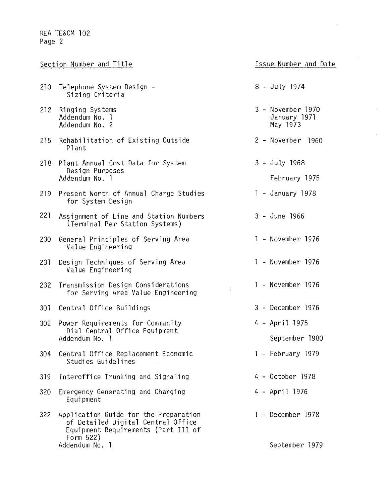|     | Section Number and Title                                                                                                        | Issue Number and Date                         |
|-----|---------------------------------------------------------------------------------------------------------------------------------|-----------------------------------------------|
| 210 | Telephone System Design -<br>Sizing Criteria                                                                                    | 8 - July 1974                                 |
| 212 | Ringing Systems<br>Addendum No. 1<br>Addendum No. 2                                                                             | 3 - November 1970<br>January 1971<br>May 1973 |
| 215 | Rehabilitation of Existing Outside<br>Plant                                                                                     | 2 - November 1960                             |
| 218 | Plant Annual Cost Data for System<br>Design Purposes<br>Addendum No. 1                                                          | 3 - July 1968<br>February 1975                |
| 219 | Present Worth of Annual Charge Studies<br>for System Design                                                                     | 1 - January 1978                              |
| 221 | Assignment of Line and Station Numbers<br>(Terminal Per Station Systems)                                                        | 3 - June 1966                                 |
| 230 | General Principles of Serving Area<br>Value Engineering                                                                         | 1 - November 1976                             |
| 231 | Design Techniques of Serving Area<br>Value Engineering                                                                          | 1 - November 1976                             |
| 232 | Transmission Design Considerations<br>for Serving Area Value Engineering                                                        | 1 - November 1976                             |
| 301 | Central Office Buildings                                                                                                        | 3 - December 1976                             |
| 302 | Power Requirements for Community                                                                                                | 4 - April 1975                                |
|     | Dial Central Office Equipment<br>Addendum No. 1                                                                                 | September 1980                                |
| 304 | Central Office Replacement Economic<br>Studies Guidelines                                                                       | 1 - February 1979                             |
| 319 | Interoffice Trunking and Signaling                                                                                              | 4 - October 1978                              |
| 320 | Emergency Generating and Charging<br>Equipment                                                                                  | 4 - April 1976                                |
| 322 | Application Guide for the Preparation<br>of Detailed Digital Central Office<br>Equipment Requirements (Part III of<br>Form 522) | 1 - December 1978                             |
|     | Addendum No. 1                                                                                                                  | September 1979                                |

 $\bar{z}$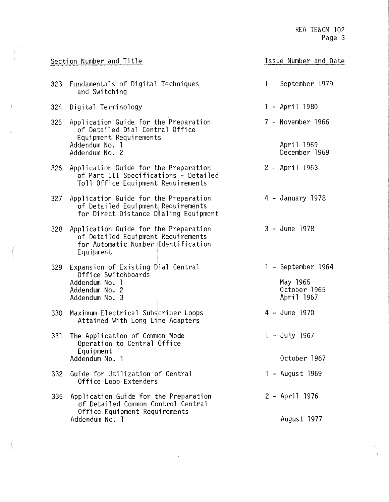|                                                                                                                             | Section Number and Title                                                                                                        | Issue Number and Date                                        |
|-----------------------------------------------------------------------------------------------------------------------------|---------------------------------------------------------------------------------------------------------------------------------|--------------------------------------------------------------|
| 323                                                                                                                         | Fundamentals of Digital Techniques<br>and Switching                                                                             | 1 - September 1979                                           |
| 324                                                                                                                         | Digital Terminology                                                                                                             | 1 - April 1980                                               |
| Application Guide for the Preparation<br>325<br>of Detailed Dial Central Office<br>Equipment Requirements<br>Addendum No. 1 |                                                                                                                                 | 7 - November 1966<br>April 1969                              |
|                                                                                                                             | Addendum No. 2                                                                                                                  | December 1969                                                |
| 326                                                                                                                         | Application Guide for the Preparation<br>of Part III Specifications - Detailed<br>Toll Office Equipment Requirements            | 2 - April 1963                                               |
| 327                                                                                                                         | Application Guide for the Preparation<br>of Detailed Equipment Requirements<br>for Direct Distance Dialing Equipment            | 4 - January 1978                                             |
| 328                                                                                                                         | Application Guide for the Preparation<br>of Detailed Equipment Requirements<br>for Automatic Number Identification<br>Equipment | 3 - June 1978                                                |
| 329                                                                                                                         | Expansion of Existing Dial Central<br>Office Switchboards<br>Addendum No. 1<br>Addendum No. 2<br>Addendum No. 3                 | 1 - September 1964<br>May 1965<br>October 1965<br>April 1967 |
| 330                                                                                                                         | Maximum Electrical Subscriber Loops<br>Attained With Long Line Adapters                                                         | 4 - June 1970                                                |
| 331                                                                                                                         | The Application of Common Mode<br>Operation to Central Office<br>Equipment                                                      | $1 - July 1967$                                              |
|                                                                                                                             | Addendum No. 1                                                                                                                  | October 1967                                                 |
| 332                                                                                                                         | Guide for Utilization of Central<br>Office Loop Extenders                                                                       | 1 - August 1969                                              |
| 335                                                                                                                         | Application Guide for the Preparation<br>of Detailed Common Control Central<br>Office Equipment Requirements                    | 2 - April 1976                                               |
|                                                                                                                             | Addendum No. 1                                                                                                                  | August 1977                                                  |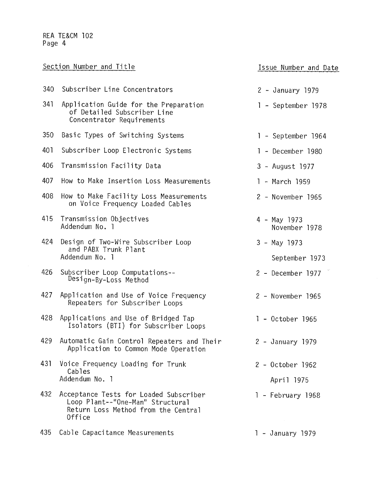|     | Section Number and Title                                                                                                    | Issue Number and Date            |  |  |
|-----|-----------------------------------------------------------------------------------------------------------------------------|----------------------------------|--|--|
| 340 | Subscriber Line Concentrators                                                                                               | 2 - January 1979                 |  |  |
| 341 | Application Guide for the Preparation<br>1 - September 1978<br>of Detailed Subscriber Line<br>Concentrator Requirements     |                                  |  |  |
| 350 | Basic Types of Switching Systems                                                                                            | 1 - September 1964               |  |  |
| 401 | Subscriber Loop Electronic Systems                                                                                          | 1 - December 1980                |  |  |
| 406 | Transmission Facility Data                                                                                                  | 3 - August 1977                  |  |  |
| 407 | How to Make Insertion Loss Measurements                                                                                     | 1 - March 1959                   |  |  |
| 408 | How to Make Facility Loss Measurements<br>on Voice Frequency Loaded Cables                                                  | 2 - November 1965                |  |  |
| 415 | Transmission Objectives<br>Addendum No. 1                                                                                   | 4 - May 1973<br>November 1978    |  |  |
| 424 | Design of Two-Wire Subscriber Loop<br>and PABX Trunk Plant<br>Addendum No. 1                                                | $3 - May$ 1973<br>September 1973 |  |  |
| 426 | Subscriber Loop Computations--<br>Design-By-Loss Method                                                                     | 2 - December 1977                |  |  |
| 427 | Application and Use of Voice Frequency<br>Repeaters for Subscriber Loops                                                    | 2 - November 1965                |  |  |
| 428 | Applications and Use of Bridged Tap<br>Isolators (BTI) for Subscriber Loops                                                 | 1 - October 1965                 |  |  |
| 429 | Automatic Gain Control Repeaters and Their<br>Application to Common Mode Operation                                          | 2 - January 1979                 |  |  |
| 431 | Voice Frequency Loading for Trunk<br>Cables                                                                                 | $2 - October$ 1962               |  |  |
|     | Addendum No. 1                                                                                                              | April 1975                       |  |  |
| 432 | Acceptance Tests for Loaded Subscriber<br>Loop Plant--"One-Man" Structural<br>Return Loss Method from the Central<br>Office | 1 - February 1968                |  |  |
| 435 | Cable Capacitance Measurements                                                                                              | 1 - January 1979                 |  |  |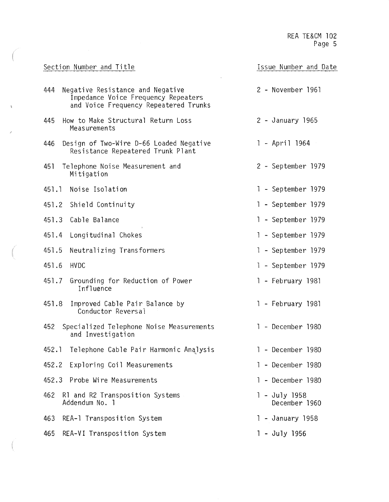| Section Number and Title                                                                                                | Issue Number and Date            |
|-------------------------------------------------------------------------------------------------------------------------|----------------------------------|
| Negative Resistance and Negative<br>444<br>Impedance Voice Frequency Repeaters<br>and Voice Frequency Repeatered Trunks | 2 - November 1961                |
| How to Make Structural Return Loss<br>445<br>Measurements                                                               | 2 - January 1965                 |
| Design of Two-Wire D-66 Loaded Negative<br>446<br>Resistance Repeatered Trunk Plant                                     | 1 - April 1964                   |
| Telephone Noise Measurement and<br>451<br>Mitigation                                                                    | 2 - September 1979               |
| 451.1 Noise Isolation                                                                                                   | 1 - September 1979               |
| 451.2 Shield Continuity                                                                                                 | 1 - September 1979               |
| 451.3<br>Cable Balance                                                                                                  | 1 - September 1979               |
| Longitudinal Chokes<br>451.4                                                                                            | 1 - September 1979               |
| 451.5<br>Neutralizing Transformers                                                                                      | 1 - September 1979               |
| 451.6<br><b>HVDC</b>                                                                                                    | 1 - September 1979               |
| Grounding for Reduction of Power<br>451.7<br>Influence                                                                  | 1 - February 1981                |
| 451.8<br>Improved Cable Pair Balance by<br>Conductor Reversal                                                           | 1 - February 1981                |
| 452<br>Specialized Telephone Noise Measurements<br>and Investigation                                                    | 1 - December 1980                |
| 452.1<br>Telephone Cable Pair Harmonic Analysis                                                                         | - December 1980<br>$\mathbf{I}$  |
| Exploring Coil Measurements<br>452.2                                                                                    | - December 1980                  |
| Probe Wire Measurements<br>452.3                                                                                        | - December 1980                  |
| 462<br>R1 and R2 Transposition Systems<br>Addendum No. 1                                                                | $1 - July 1958$<br>December 1960 |
| REA-1 Transposition System<br>463                                                                                       | 1 - January 1958                 |
| REA-VI Transposition System<br>465                                                                                      | 1 - July 1956                    |

ä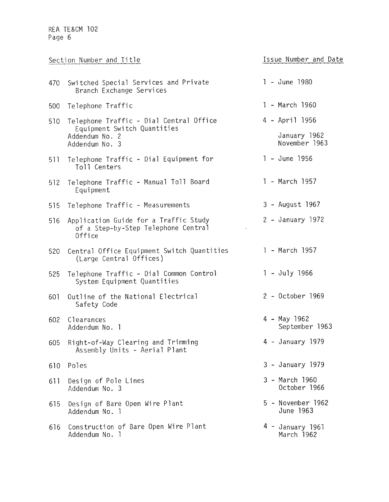|     | Section Number and Title                                                               |                                | Issue Number and Date         |
|-----|----------------------------------------------------------------------------------------|--------------------------------|-------------------------------|
| 470 | Switched Special Services and Private<br>Branch Exchange Services                      | 1 - June 1980                  |                               |
| 500 | Telephone Traffic                                                                      | 1 - March 1960                 |                               |
| 510 | Telephone Traffic - Dial Central Office                                                | 4 - April 1956                 |                               |
|     | Equipment Switch Quantities<br>Addendum No. 2<br>Addendum No. 3                        |                                | January 1962<br>November 1963 |
| 511 | Telephone Traffic - Dial Equipment for<br>Toll Centers                                 | 1 - June 1956                  |                               |
| 512 | Telephone Traffic - Manual Toll Board<br>Equipment                                     | 1 - March 1957                 |                               |
| 515 | Telephone Traffic - Measurements                                                       | 3 - August 1967                |                               |
| 516 | Application Guide for a Traffic Study<br>of a Step-by-Step Telephone Central<br>Office | 2 - January 1972               |                               |
| 520 | Central Office Equipment Switch Quantities<br>(Large Central Offices)                  | 1 - March 1957                 |                               |
| 525 | Telephone Traffic - Dial Common Control<br>System Equipment Quantities                 | 1 - July 1966                  |                               |
| 601 | Outline of the National Electrical<br>Safety Code                                      | 2 - October 1969               |                               |
| 602 | Clearances<br>Addendum No. 1                                                           | 4 - May 1962                   | September 1963                |
| 605 | Right-of-Way Clearing and Trimming<br>Assembly Units - Aerial Plant                    | 4 - January 1979               |                               |
| 610 | Poles                                                                                  | 3 - January 1979               |                               |
| 611 | Design of Pole Lines<br>Addendum No. 3                                                 | 3 - March 1960                 | October 1966                  |
| 615 | Design of Bare Open Wire Plant<br>Addendum No. 1                                       | 5 - November 1962<br>June 1963 |                               |
| 616 | Construction of Bare Open Wire Plant<br>Addendum No. 1                                 | 4 - January 1961<br>March 1962 |                               |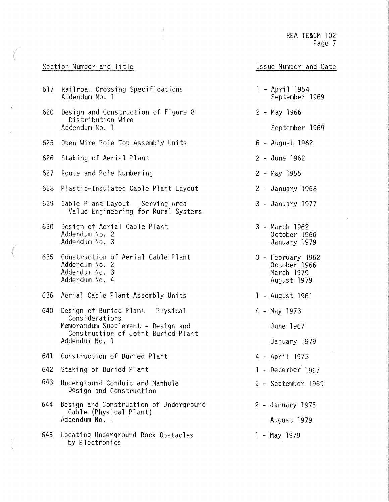#### Section Number and Title

- 617 Railroa. Crossing Specifications<br>Addendum No. 1
- 620 Design and Construction of Figure 8 Distribution Wire Addendum No. l
- 625 Open Wire Pole Top Assembly Units
- 626 Staking of Aerial Plant
- 627 Route and Pole Numbering
- 628 Plastic-Insulated Cable Plant Layout
- 629 Cable Plant Layout Serving Area Value Engineering for Rural Systems
- 630 Design of Aerial Cable Plant Addendum No. 2 Addendum No. 3
- 635 Construction of Aerial Cable Plant Addendum No. 2 Addendum No. 3 Addendum No. 4
- 636 Aerial Cable Plant Assembily Units
- 640 Design of Buried Plant Physical Considerations Memorandum Supplement - Design and Construction of Joint Buried Plant Addendum No. l
- 641 Construction of Buried Plant
- 642 Staking of Buried Plant
- 643 Underground Conduit and Manhole Design and Construction
- 644 Design and Construction of Underground Cable (Physical Plant) Addendum No. l
- 645 Locating Underground Rock Obstacles by Electronics
- Issue Number and Date
- April 1954 September 1969
- 2 May 1966
	- September 1969
- 6 August 1962
- 2 June 1962
- 2 May 1955
- 2 January 1968
- 3 January 1977
- 3 March 1962 October 1966 January 1979
- 3 February 1962 October 1966 March 1979 August 1979
- l August 1961
- 4 May 1973

June 1967

- January 1979
- 4 April 1973
- l December 1967
- 2 September 1969
- 2 January 1975
	- August 1979
- l May 1979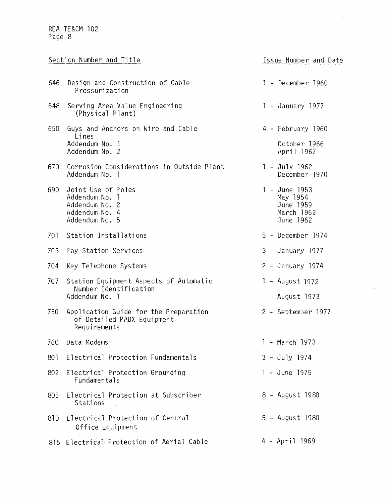$\hat{\mathcal{A}}$ 

|     | Section Number and Title                                                                                                                                                                   | Issue Number and Date                                             |
|-----|--------------------------------------------------------------------------------------------------------------------------------------------------------------------------------------------|-------------------------------------------------------------------|
| 646 | Design and Construction of Cable<br>Pressurization                                                                                                                                         | 1 - December 1960                                                 |
| 648 | Serving Area Value Engineering<br>(Physical Plant)                                                                                                                                         | 1 - January 1977                                                  |
| 650 | Guys and Anchors on Wire and Cable<br>Lines<br>Addendum No. 1<br>Addendum No. 2                                                                                                            | 4 - February 1960<br>October 1966<br>April 1967                   |
| 670 | Corrosion Considerations in Outside Plant<br>Addendum No. 1                                                                                                                                | 1 - July 1962<br>December 1970                                    |
| 690 | Joint Use of Poles<br>Addendum No. 1<br>Addendum No. 2<br>Addendum No. 4<br>Addendum No. 5                                                                                                 | 1 - June 1953<br>May 1954<br>June 1959<br>March 1962<br>June 1962 |
| 701 | Station Installations                                                                                                                                                                      | 5 - December 1974                                                 |
| 703 | Pay Station Services                                                                                                                                                                       | 3 - January 1977                                                  |
| 704 | Key Telephone Systems                                                                                                                                                                      | 2 - January 1974                                                  |
| 707 | Station Equipment Aspects of Automatic<br>Number Identification<br>Addendum No. 1<br>$\mathbf{V} = \left\{ \begin{array}{ll} 0 & \text{if} \ \mathbf{V} = \mathbf{V} \end{array} \right\}$ | 1 - August 1972<br>August 1973                                    |
| 750 | Application Guide for the Preparation<br>of Detailed PABX Equipment<br>Requirements                                                                                                        | 2 - September 1977                                                |
| 760 | Data Modems                                                                                                                                                                                | - March 1973<br>$\mathbf{I}$                                      |
| 801 | Electrical Protection Fundamentals                                                                                                                                                         | $3 - July 1974$                                                   |
| 802 | Electrical Protection Grounding<br>Fundamentals                                                                                                                                            | 1 - June 1975                                                     |
| 805 | Electrical Protection at Subscriber<br>Stations                                                                                                                                            | 8 - August 1980                                                   |
| 810 | Electrical Protection of Central<br>Office Equipment                                                                                                                                       | 5 - August 1980                                                   |
| 815 | Electrical Protection of Aerial Cable                                                                                                                                                      | 4 - April 1969                                                    |

 $\vec{r}$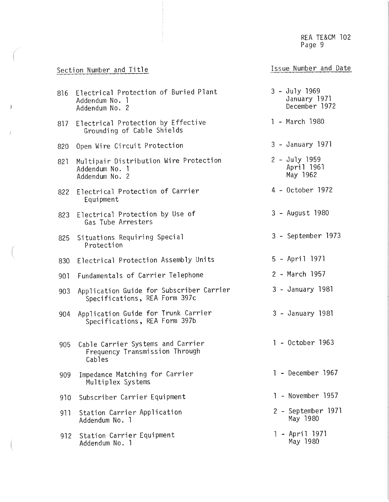### Section Number and Title

 $\mathring{\mathsf{T}}$ 

- s

### Issue Number and Date

| 816 | $3 - July 1969$<br>Electrical Protection of Buried Plant<br>January 1971<br>Addendum No. 1<br>December 1972<br>Addendum No. 2 |                                |  |  |  |  |  |
|-----|-------------------------------------------------------------------------------------------------------------------------------|--------------------------------|--|--|--|--|--|
| 817 | 1 - March 1980<br>Electrical Protection by Effective<br>Grounding of Cable Shields                                            |                                |  |  |  |  |  |
| 820 | Open Wire Circuit Protection                                                                                                  | 3 - January 1971               |  |  |  |  |  |
| 821 | $2 - July 1959$<br>Multipair Distribution Wire Protection<br>April 1961<br>Addendum No. 1<br>May 1962<br>Addendum No. 2       |                                |  |  |  |  |  |
| 822 | 4 - October 1972<br>Electrical Protection of Carrier<br>Equipment                                                             |                                |  |  |  |  |  |
| 823 | Electrical Protection by Use of<br>Gas Tube Arresters                                                                         | 3 - August 1980                |  |  |  |  |  |
| 825 | 3 - September 1973<br>Situations Requiring Special<br>Protection                                                              |                                |  |  |  |  |  |
| 830 | 5 - April 1971<br>Electrical Protection Assembly Units                                                                        |                                |  |  |  |  |  |
| 901 | Fundamentals of Carrier Telephone                                                                                             | 2 - March 1957                 |  |  |  |  |  |
| 903 | Application Guide for Subscriber Carrier<br>Specifications, REA Form 397c                                                     | 3 - January 1981               |  |  |  |  |  |
| 904 | Application Guide for Trunk Carrier<br>Specifications, REA Form 397b                                                          | 3 - January 1981               |  |  |  |  |  |
| 905 | Cable Carrier Systems and Carrier<br>Frequency Transmission Through<br>Cables                                                 | 1 - October 1963               |  |  |  |  |  |
| 909 | Impedance Matching for Carrier<br>Multiplex Systems                                                                           | - December 1967                |  |  |  |  |  |
| 910 | Subscriber Carrier Equipment                                                                                                  | 1 - November 1957              |  |  |  |  |  |
| 911 | Station Carrier Application<br>Addendum No. 1                                                                                 | 2 - September 1971<br>May 1980 |  |  |  |  |  |
| 912 | Station Carrier Equipment<br>Addendum No. 1                                                                                   | 1 - April 1971<br>May 1980     |  |  |  |  |  |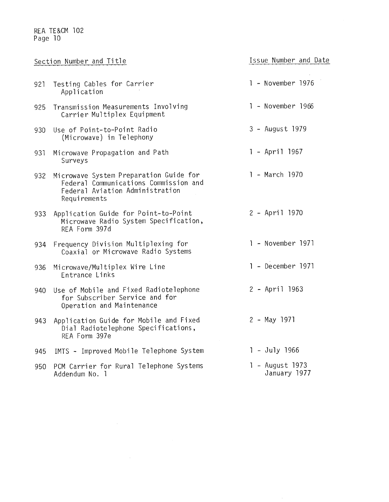|     | Section Number and Title                                                                                                           | Issue Number and Date           |
|-----|------------------------------------------------------------------------------------------------------------------------------------|---------------------------------|
| 921 | Testing Cables for Carrier<br>Application                                                                                          | 1 - November 1976               |
| 925 | Transmission Measurements Involving<br>Carrier Multiplex Equipment                                                                 | 1 - November 1966               |
| 930 | Use of Point-to-Point Radio<br>(Microwave) in Telephony                                                                            | 3 - August 1979                 |
| 931 | Microwave Propagation and Path<br>Surveys                                                                                          | $1 - April 1967$                |
| 932 | Microwave System Preparation Guide for<br>Federal Communications Commission and<br>Federal Aviation Administration<br>Requirements | 1 - March 1970                  |
| 933 | Application Guide for Point-to-Point<br>Microwave Radio System Specification,<br>REA Form 397d                                     | 2 - April 1970                  |
| 934 | Frequency Division Multiplexing for<br>Coaxial or Microwave Radio Systems                                                          | 1 - November 1971               |
| 936 | Microwave/Multiplex Wire Line<br>Entrance Links                                                                                    | 1 - December 1971               |
| 940 | Use of Mobile and Fixed Radiotelephone<br>for Subscriber Service and for<br>Operation and Maintenance                              | 2 - April 1963                  |
| 943 | Application Guide for Mobile and Fixed<br>Dial Radiotelephone Specifications,<br>REA Form 397e                                     | $2 - May$ 1971                  |
| 945 | IMTS - Improved Mobile Telephone System                                                                                            | $1 - July 1966$                 |
| 950 | PCM Carrier for Rural Telephone Systems<br>Addendum No. 1                                                                          | 1 - August 1973<br>January 1977 |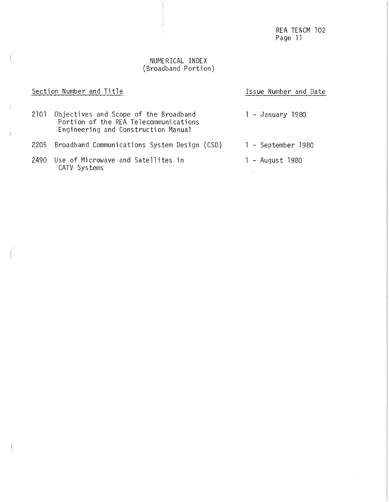$\hat{\mathbf{r}}$ 

#### NUMERICAL INDEX (Broadband Portion)

|      | Section Number and Title                                                                                              | Issue Number and Date |
|------|-----------------------------------------------------------------------------------------------------------------------|-----------------------|
| 2101 | Objectives and Scope of the Broadband<br>Portion of the REA Telecommunications<br>Engineering and Construction Manual | 1 - January 1980      |
| 2205 | Broadband Communications System Design (CSD)                                                                          | 1 - September 1980    |
| 2490 | Use of Microwave and Satellites in<br>CATV Systems                                                                    | 1 - August 1980       |

 $\tilde{c}$ 

 $\hat{\vec{\delta}}$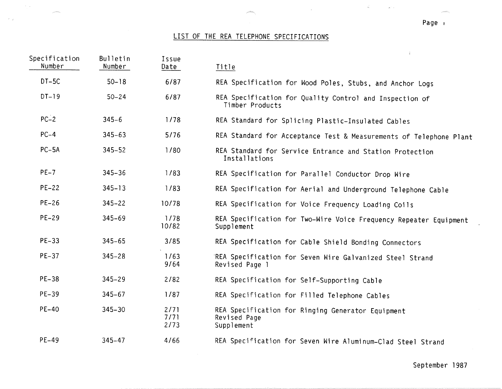### LIST OF THE REA TELEPHONE SPECIFICATIONS

| Specification<br>Number | Bulletin<br>Number | Issue<br>Date        | $\mathcal{L}_{\mathcal{A}}$<br>Title                                            |
|-------------------------|--------------------|----------------------|---------------------------------------------------------------------------------|
| $DT-5C$                 | $50 - 18$          | 6/87                 | REA Specification for Wood Poles, Stubs, and Anchor Logs                        |
| $DT-19$                 | $50 - 24$          | 6/87                 | REA Specification for Quality Control and Inspection of<br>Timber Products      |
| $PC-2$                  | $345 - 6$          | 1/78                 | REA Standard for Splicing Plastic-Insulated Cables                              |
| $PC-4$                  | $345 - 63$         | 5/76                 | REA Standard for Acceptance Test & Measurements of Telephone Plant              |
| $PC-5A$                 | $345 - 52$         | 1/80                 | REA Standard for Service Entrance and Station Protection<br>Installations       |
| $PE-7$                  | $345 - 36$         | 1/83                 | REA Specification for Parallel Conductor Drop Wire                              |
| $PE-22$                 | $345 - 13$         | 1/83                 | REA Specification for Aerial and Underground Telephone Cable                    |
| $PE-26$                 | $345 - 22$         | 10/78                | REA Specification for Voice Frequency Loading Coils                             |
| PE-29                   | $345 - 69$         | 1/78<br>10/82        | REA Specification for Two-Wire Voice Frequency Repeater Equipment<br>Supplement |
| $PE-33$                 | $345 - 65$         | 3/85                 | REA Specification for Cable Shield Bonding Connectors                           |
| $PE-37$                 | $345 - 28$         | 1/63<br>9/64         | REA Specification for Seven Wire Galvanized Steel Strand<br>Revised Page 1      |
| <b>PE-38</b>            | $345 - 29$         | 2/82                 | REA Specification for Self-Supporting Cable                                     |
| PE-39                   | $345 - 67$         | 1/87                 | REA Specification for Filled Telephone Cables                                   |
| $PE-40$                 | $345 - 30$         | 2/71<br>7/71<br>2/73 | REA Specification for Ringing Generator Equipment<br>Revised Page<br>Supplement |
| $PE-49$                 | $345 - 47$         | 4/66                 | REA Specification for Seven Wire Aluminum-Clad Steel Strand                     |

Page ,

 $\frac{1}{\alpha_1}$ 

 $\omega^{\perp}$  .

September 1987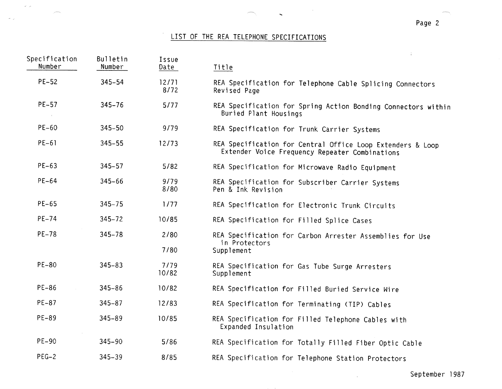### LIST OF THE REA TELEPHONE SPECIFICATIONS

 $\sim$ 

 $\tilde{\mathcal{L}}$ 

 $\omega_{\rm{c}}$  ,  $\rho_{\rm{c}}$ 

| Specification<br>Number | Bulletin<br>Number | Issue<br>Date | $\frac{1}{4}$<br>Title                                                                                       |
|-------------------------|--------------------|---------------|--------------------------------------------------------------------------------------------------------------|
| $PE-52$                 | $345 - 54$         | 12/71<br>8/72 | REA Specification for Telephone Cable Splicing Connectors<br>Revised Page                                    |
| $PE-57$                 | $345 - 76$         | 5/77          | REA Specification for Spring Action Bonding Connectors within<br>Buried Plant Housings                       |
| $PE-60$                 | $345 - 50$         | 9/79          | REA Specification for Trunk Carrier Systems                                                                  |
| $PE-61$                 | $345 - 55$         | 12/73         | REA Specification for Central Office Loop Extenders & Loop<br>Extender Voice Frequency Repeater Combinations |
| $PE-63$                 | $345 - 57$         | $5/82$        | REA Specification for Microwave Radio Equipment                                                              |
| $PE-64$                 | $345 - 66$         | 9/79<br>8/80  | REA Specification for Subscriber Carrier Systems<br>Pen & Ink Revision                                       |
| $PE-65$                 | $345 - 75$         | 1/77          | REA Specification for Electronic Trunk Circuits                                                              |
| $PE-74$                 | $345 - 72$         | 10/85         | REA Specification for Filled Splice Cases                                                                    |
| <b>PE-78</b>            | $345 - 78$         | 2/80<br>7/80  | REA Specification for Carbon Arrester Assemblies for Use<br>in Protectors<br>Supplement                      |
| $PE-80$                 | $345 - 83$         | 7/79<br>10/82 | REA Specification for Gas Tube Surge Arresters<br>Supplement                                                 |
| PE-86                   | $345 - 86$         | 10/82         | REA Specification for Filled Buried Service Wire                                                             |
| PE-87                   | $345 - 87$         | 12/83         | REA Specification for Terminating (TIP) Cables                                                               |
| PE-89                   | 345-89             | 10/85         | REA Specification for Filled Telephone Cables with<br>Expanded Insulation                                    |
| $PE-90$                 | $345 - 90$         | $5/86$        | REA Specification for Totally Filled Fiber Optic Cable                                                       |
| $PEG-2$                 | $345 - 39$         | 8/85          | REA Specification for Telephone Station Protectors                                                           |

September 1987

 $\sim$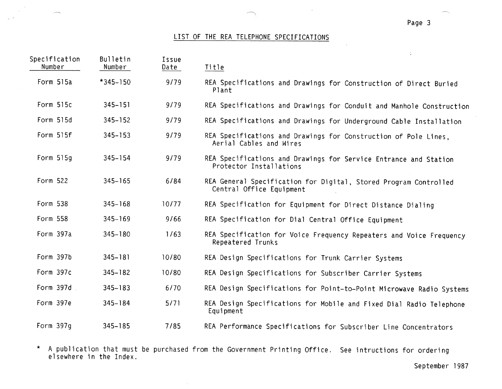#### Page 3

 $\mathbb{R}^2$ 

### LIST OF THE REA TELEPHONE SPECIFICATIONS

| Specification<br>Number | Bulletin<br>Number | Issue<br>Date | Title                                                                                        |
|-------------------------|--------------------|---------------|----------------------------------------------------------------------------------------------|
| Form 515a               | $*345 - 150$       | 9/79          | REA Specifications and Drawings for Construction of Direct Buried<br>Plant                   |
| Form 515c               | $345 - 151$        | 9/79          | REA Specifications and Drawings for Conduit and Manhole Construction                         |
| Form 515d               | $345 - 152$        | 9/79          | REA Specifications and Drawings for Underground Cable Installation                           |
| Form 515f               | $345 - 153$        | 9/79          | REA Specifications and Drawings for Construction of Pole Lines,<br>Aerial Cables and Wires   |
| Form 515g               | $345 - 154$        | 9/79          | REA Specifications and Drawings for Service Entrance and Station<br>Protector Installations  |
| Form 522                | $345 - 165$        | 6/84          | REA General Specification for Digital, Stored Program Controlled<br>Central Office Equipment |
| Form 538                | $345 - 168$        | 10/77         | REA Specification for Equipment for Direct Distance Dialing                                  |
| Form 558                | $345 - 169$        | 9/66          | REA Specification for Dial Central Office Equipment                                          |
| Form 397a               | $345 - 180$        | 1/63          | REA Specification for Voice Frequency Repeaters and Voice Frequency<br>Repeatered Trunks     |
| Form 397b               | $345 - 181$        | 10/80         | REA Design Specifications for Trunk Carrier Systems                                          |
| Form 397c               | $345 - 182$        | 10/80         | REA Design Specifications for Subscriber Carrier Systems                                     |
| Form 397d               | $345 - 183$        | 6/70          | REA Design Specifications for Point-to-Point Microwave Radio Systems                         |
| Form 397e               | $345 - 184$        | 5/71          | REA Design Specifications for Mobile and Fixed Dial Radio Telephone<br>Equipment             |
| Form 397q               | $345 - 185$        | 7/85          | REA Performance Specifications for Subscriber Line Concentrators                             |

\* A publication that must be purchased from the Government Printing Office. See intructions for ordering<br>elsewhere in the Index.

 $\epsilon$ 

September 1987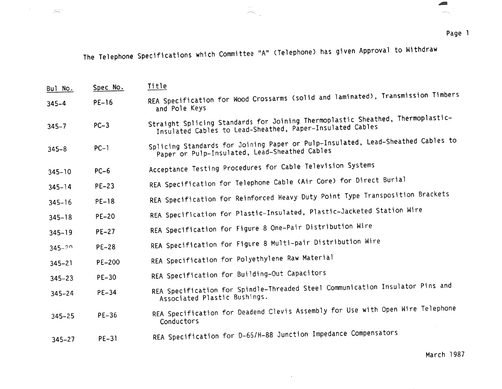÷.

\_.,.

Page 1

The Telephone Specifications which Committee "A" (Telephone) has given Approval to Withdraw

 $\langle m \rangle \sim 1$ 

| Bul No.    | Spec No.      | Title                                                                                                                                       |
|------------|---------------|---------------------------------------------------------------------------------------------------------------------------------------------|
| $345 - 4$  | $PE-16$       | REA Specification for Wood Crossarms (solid and laminated), Transmission Timbers<br>and Pole Keys                                           |
| $345 - 7$  | $PC-3$        | Straight Splicing Standards for Joining Thermoplastic Sheathed, Thermoplastic-<br>Insulated Cables to Lead-Sheathed, Paper-Insulated Cables |
| $345 - 8$  | $PC-1$        | Splicing Standards for Joining Paper or Pulp-Insulated, Lead-Sheathed Cables to<br>Paper or Pulp-Insulated, Lead-Sheathed Cables            |
| $345 - 10$ | $PC-6$        | Acceptance Testing Procedures for Cable Television Systems                                                                                  |
| $345 - 14$ | $PE-23$       | REA Specification for Telephone Cable (Air Core) for Direct Burial                                                                          |
| $345 - 16$ | $PE-18$       | REA Specification for Reinforced Heavy Duty Point Type Transposition Brackets                                                               |
| $345 - 18$ | $PE-20$       | REA Specification for Plastic-Insulated, Plastic-Jacketed Station Wire                                                                      |
| $345 - 19$ | $PE-27$       | REA Specification for Figure 8 One-Pair Distribution Wire                                                                                   |
| $345 - ?$  | $PE-28$       | REA Specification for Figure 8 Multi-pair Distribution Wire                                                                                 |
| $345 - 21$ | <b>PE-200</b> | REA Specification for Polyethylene Raw Material                                                                                             |
| $345 - 23$ | $PE-30$       | REA Specification for Building-Out Capacitors                                                                                               |
| $345 - 24$ | $PE-34$       | REA Specification for Spindle-Threaded Steel Communication Insulator Pins and<br>Associated Plastic Bushings.                               |
| $345 - 25$ | $PE-36$       | REA Specification for Deadend Clevis Assembly for Use with Open Wire Telephone<br>Conductors                                                |
| $345 - 27$ | <b>PE-31</b>  | REA Specification for D-66/H-88 Junction Impedance Compensators                                                                             |

 $\mathbf{r}$  and  $\mathbf{r}$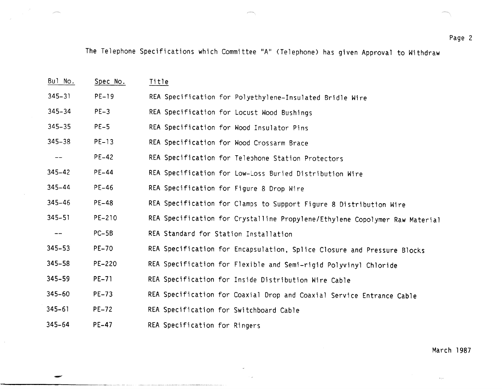The Telephone Specifications which Committee "A" (Telephone) has given Approval to Withdraw

| Bul No.           | Spec No.     | <u>Title</u>                                                                |
|-------------------|--------------|-----------------------------------------------------------------------------|
| $345 - 31$        | $PE-19$      | REA Specification for Polyethylene-Insulated Bridle Wire                    |
| $345 - 34$        | $PE-3$       | REA Specification for Locust Wood Bushings                                  |
| $345 - 35$        | $PE-5$       | REA Specification for Wood Insulator Pins                                   |
| $345 - 38$        | $PE-13$      | REA Specification for Wood Crossarm Brace                                   |
| $\qquad \qquad -$ | $PE-42$      | REA Specification for Telephone Station Protectors                          |
| $345 - 42$        | $PE-44$      | REA Specification for Low-Loss Buried Distribution Wire                     |
| $345 - 44$        | $PE-46$      | REA Specification for Figure 8 Drop Wire                                    |
| $345 - 46$        | <b>PE-48</b> | REA Specification for Clamps to Support Figure 8 Distribution Wire          |
| $345 - 51$        | PE-210       | REA Specification for Crystalline Propylene/Ethylene Copolymer Raw Material |
| $\qquad \qquad -$ | $PC-5B$      | REA Standard for Station Installation                                       |
| $345 - 53$        | <b>PE-70</b> | REA Specification for Encapsulation, Splice Closure and Pressure Blocks     |
| $345 - 58$        | PE-220       | REA Specification for Flexible and Semi-rigid Polyvinyl Chloride            |
| 345-59            | $PE-71$      | REA Specification for Inside Distribution Wire Cable                        |
| $345 - 60$        | $PE-73$      | REA Specification for Coaxial Drop and Coaxial Service Entrance Cable       |
| $345 - 61$        | $PE-72$      | REA Specification for Switchboard Cable                                     |
| $345 - 64$        | $PE-47$      | REA Specification for Ringers                                               |

-

 $\mathcal{L}$ 

March 1987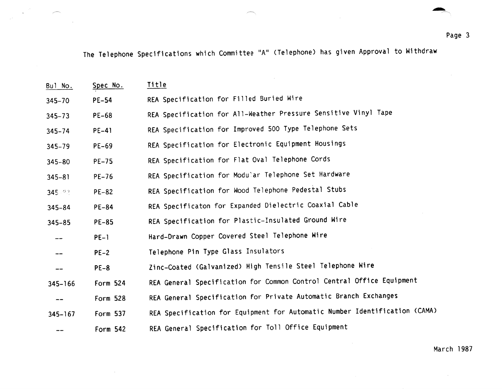$\sim$ 

~

The Telephone Specifications which Committee "A" <Telephone) has given Approval to Withdraw

| Bul No.     | Spec No.     | Title                                                                      |
|-------------|--------------|----------------------------------------------------------------------------|
| $345 - 70$  | $PE-54$      | REA Specification for Filled Buried Wire                                   |
| $345 - 73$  | PE-68        | REA Specification for All-Weather Pressure Sensitive Vinyl Tape            |
| $345 - 74$  | $PE-41$      | REA Specification for Improved 500 Type Telephone Sets                     |
| $345 - 79$  | $PE-69$      | REA Specification for Electronic Equipment Housings                        |
| $345 - 80$  | $PE-75$      | REA Specification for Flat Oval Telephone Cords                            |
| $345 - 81$  | PE-76        | REA Specification for Modular Telephone Set Hardware                       |
| 345.92      | <b>PE-82</b> | REA Specification for Wood Telephone Pedestal Stubs                        |
| $345 - 84$  | <b>PE-84</b> | REA Specificaton for Expanded Dielectric Coaxial Cable                     |
| $345 - 85$  | <b>PE-85</b> | REA Specification for Plastic-Insulated Ground Wire                        |
|             | $PE-1$       | Hard-Drawn Copper Covered Steel Telephone Wire                             |
|             | $PE-2$       | Telephone Pin Type Glass Insulators                                        |
| ---         | $PE-8$       | Zinc-Coated (Galvanized) High Tensile Steel Telephone Wire                 |
| $345 - 166$ | Form 524     | REA General Specification for Common Control Central Office Equipment      |
| --          | Form 528     | REA General Specification for Private Automatic Branch Exchanges           |
| $345 - 167$ | Form 537     | REA Specification for Equipment for Automatic Number Identification (CAMA) |
|             | Form 542     | REA General Specification for Toll Office Equipment                        |

 $\sim 10^{-1}$ 

March 1987

 $\sim$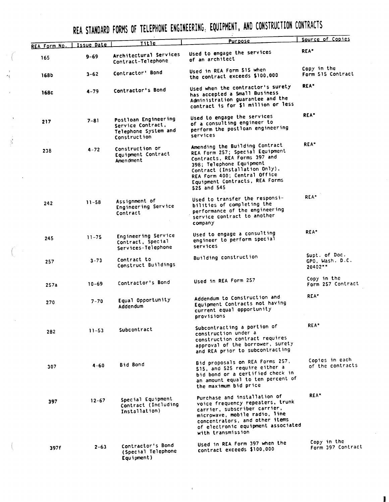REA STANDARD FORMS OF TELEPHONE ENGINEERING: EQUIPMENT, AND CONSTRUCTION CONTRACTS

|              |            |                                                                                   | <u>Purpose</u>                                                                                                                                                                                                                                  | Source of Copies                            |
|--------------|------------|-----------------------------------------------------------------------------------|-------------------------------------------------------------------------------------------------------------------------------------------------------------------------------------------------------------------------------------------------|---------------------------------------------|
| REA Form No. | Issue Date | Title                                                                             |                                                                                                                                                                                                                                                 | <b>REA*</b>                                 |
| 165          | $9 - 69$   | Architectural Services<br>Contract-Telephone                                      | Used to engage the services<br>of an architect                                                                                                                                                                                                  |                                             |
| <b>168b</b>  | $3 - 62$   | Contractor' Bond                                                                  | Used in REA Form 515 when<br>the contract exceeds \$100,000                                                                                                                                                                                     | Copy in the<br>Form 515 Contract            |
| 168c         | $4 - 79$   | Contractor's Bond                                                                 | Used when the contractor's surety<br>has accepted a Small Business<br>Administration guarantee and the<br>contract is for \$1 million or less                                                                                                   | <b>REA*</b>                                 |
| 217          | $7 - 81$   | Postloan Engineering<br>Service Contract,<br>Telephone System and<br>Construction | Used to engage the services<br>of a consulting engineer to<br>perform the postloan engineering<br>services                                                                                                                                      | <b>REA*</b>                                 |
| 238          | $4 - 72$   | Construction or<br>Equipment Contract<br>Amendment                                | Amending the Building Contract<br>REA Form 257; Special Equipment<br>Contracts, REA Forms 397 and<br>398; Telephone Equipment<br>Contract (Installation Only).<br>REA Form 400; Central Office<br>Equipment Contracts, REA Forms<br>525 and 545 | REA*                                        |
| 242          | $11 - 58$  | Assignment of<br>Engineering Service<br>Contract                                  | Used to transfer the responsi-<br>bilities of completing the<br>performance of the engineering<br>service contract to another<br>company                                                                                                        | REA*                                        |
| 245          | $11 - 75$  | Engineering Service<br>Contract, Special<br>Services-Telephone                    | Used to engage a consulting<br>engineer to perform special<br>services                                                                                                                                                                          | REA*                                        |
| 257          | $3 - 73$   | Contract to<br>Construct Buildings                                                | Building construction                                                                                                                                                                                                                           | Supt. of Doc.<br>GPO, Wash. D.C.<br>20402** |
| 257a         | $10 - 69$  | Contractor's Bond                                                                 | Used in REA Form 257                                                                                                                                                                                                                            | Copy in the<br>Form 257 Contract            |
| 270          | $7 - 70$   | Equal Opportunity<br>Addendum                                                     | Addendum to Construction and<br>Equipment Contracts not having<br>current equal opportunity<br>provisions                                                                                                                                       | REA*                                        |
| 282          | $11 - 53$  | Subcontract                                                                       | Subcontracting a portion of<br>construction under a<br>construction contract requires<br>approval of the borrower, surety<br>and REA prior to subcontracting                                                                                    | REA*                                        |
| 307          | $4 - 60$   | Bid Bond                                                                          | Bid proposals on REA Forms 257,<br>515, and 525 require either a<br>bid bond or a certified check in<br>an amount equal to ten percent of<br>the maximum bid price                                                                              | Copies in each<br>of the contracts          |
| 397          | $12 - 67$  | Special Equipment<br>Contract (Including<br>Installation)                         | Purchase and installation of<br>voice frequency repeaters, trunk<br>carrier, subscriber carrier,<br>microwave, mobile radio, line<br>concentrators, and other items<br>of electronic equipment associated<br>with transmission                  | REA <sup>*</sup>                            |
| 397f         | $2 - 63$   | Contractor's Bond<br>(Special Telephone<br>Equipment)                             | Used in REA Form 397 when the<br>contract exceeds \$100,000                                                                                                                                                                                     | Copy in the<br>Form 397 Contract            |

 $\hat{\beta}^*$ 

I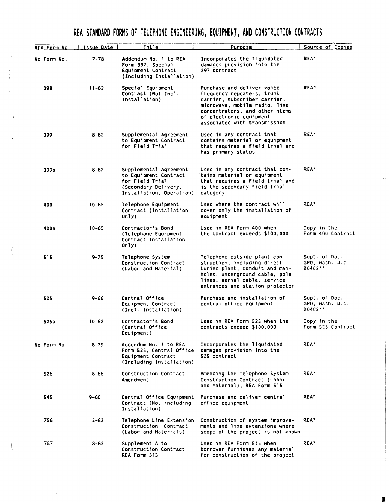## REA STANDARD FORMS OF TELEPHONE ENGINEERING, EQUIPMENT, AND CONSTRUCTION CONTRACTS

| REA Form No. | Issue Date | Title                                                                                                                  | Purpose                                                                                                                                                                                                                | Source of Copies                            |
|--------------|------------|------------------------------------------------------------------------------------------------------------------------|------------------------------------------------------------------------------------------------------------------------------------------------------------------------------------------------------------------------|---------------------------------------------|
| No Form No.  | $7 - 78$   | Addendum No. 1 to REA<br>Form 397, Special<br>Equipment Contract<br>(Including Installation)                           | Incorporates the liquidated<br>damages provision into the<br>397 contract                                                                                                                                              | REA*                                        |
| 398          | $11 - 62$  | Special Equipment<br>Contract (Not Incl.<br>Installation)                                                              | Purchase and deliver voice<br>frequency repeaters, trunk<br>carrier, subscriber carrier,<br>microwave, mobile radio, line<br>concentrators, and other items<br>of electronic equipment<br>associated with transmission | <b>REA*</b>                                 |
| 399          | $8 - 82$   | Supplemental Agreement<br>to Equipment Contract<br>for Field Trial                                                     | Used in any contract that<br>contains material or equipment<br>that requires a field trial and<br>has primary status                                                                                                   | <b>REA*</b>                                 |
| 399a         | $8 - 82$   | Supplemental Agreement<br>to Equipment Contract<br>for Field Trial<br>(Secondary-Delivery,<br>Installation, Operation) | Used in any contract that con-<br>tains material or equipment<br>that requires a field trial and<br>is the secondary field trial<br>category                                                                           | REA <sup>*</sup>                            |
| 400          | $10 - 65$  | Telephone Equipment<br>Contract (Installation<br>0n1y).                                                                | Used where the contract will<br>cover only the installation of<br>equipment                                                                                                                                            | REA <sup>x</sup>                            |
| 400a         | $10 - 65$  | Contractor's Bond<br>(Telephone Equipment<br>Contract-Installation<br>0n1y)                                            | Used in REA Form 400 when<br>the contract exceeds \$100,000                                                                                                                                                            | Copy in the<br>Form 400 Contract            |
| 515          | $9 - 79$   | Telephone System<br>Construction Contract<br>(Labor and Material)                                                      | Telephone outside plant con-<br>struction, including direct<br>buried plant, conduit and man-<br>holes, underground cable, pole<br>lines, aerial cable, service<br>entrances and station protector                     | Supt. of Doc.<br>GPO, Wash. D.C.<br>20402** |
| 525          | 9-66       | Central Office<br>Equipment Contract<br>(Incl. Installation)                                                           | Purchase and installation of<br>central office equipment                                                                                                                                                               | Supt. of Doc.<br>GPO, Wash. D.C.<br>20402** |
| 525a         | $10 - 62$  | Contractor's Bond<br>(Central Office<br>Equipment)                                                                     | Used in REA Form 525 when the<br>contracts exceed \$100,000                                                                                                                                                            | Copy in the<br>Form 525 Contract            |
| No Form No.  | $8 - 79$   | Addendum No. 1 to REA<br>Form 525, Central Office<br>Equipment Contract<br>(Including Installation)                    | Incorporates the liquidated<br>damages provision into the<br>525 contract                                                                                                                                              | <b>REA</b> <sup>*</sup>                     |
| 526          | $8 - 66$   | Construction Contract<br>Amendment                                                                                     | Amending the Telephone System<br>Construction Contract (Labor<br>and Material), REA Form 515                                                                                                                           | REA <sup>*</sup>                            |
| 545          | $9 - 66$   | Central Office Equipment<br>Contract (Not including<br>Installation)                                                   | Purchase and deliver central<br>office equipment                                                                                                                                                                       | <b>REA</b> <sup>*</sup>                     |
| 756          | $3 - 63$   | Telephone Line Extension<br>Construction Contract<br>(Labor and Materials)                                             | Construction of system improve-<br>ments and line extensions where<br>scope of the project is not known                                                                                                                | <b>REA</b> <sup>*</sup>                     |
| 787          | $8 - 63$   | Supplement A to<br>Construction Contract<br>REA Form 515                                                               | Used in REA Form 5:5 when<br>borrower furnishes any material<br>for construction of the project                                                                                                                        | <b>REA*</b>                                 |

**I**